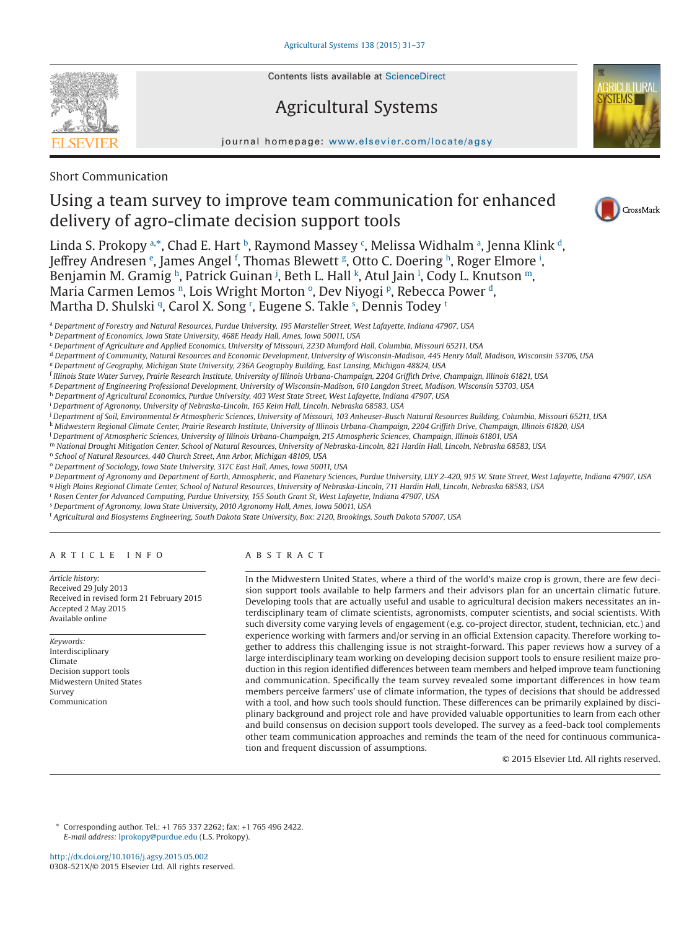

Contents lists available at [ScienceDirect](http://www.sciencedirect.com/science/journal/0308521X)

# Agricultural Systems



journal homepage: [www.elsevier.com/locate/agsy](http://www.elsevier.com/locate/AGSY)

# Short Communication

# Using a team survey to improve team communication for enhanced delivery of agro-climate decision support tools



Linda S. Prokopy a.[\\*,](#page-0-1) Chad E. Hart <sup>[b](#page-0-2)</sup>, Raymond Massey <sup>[c](#page-0-3)</sup>, Meliss[a](#page-0-0) Widhalm <sup>a</sup>, Jenna Klink <sup>d</sup>, J[e](#page-0-5)[f](#page-0-6)frey Andresen <sup>e</sup>, James An[g](#page-0-7)el <sup>f</sup>, Thomas Blewett <sup>g</sup>, Otto C. Doer[i](#page-0-9)ng <sup>h</sup>, Roger Elmore <sup>i</sup>, Ben[j](#page-0-10)amin M. Gramig ʰ, Patric[k](#page-0-11) Guinan ʲ, Beth L. Ha[l](#page-0-12)l ʰ, Atul Jain ʲ, Cody L. Knutson ʰ', Maria Carmen Lem[o](#page-0-15)s <sup>n</sup>, Lois Wright Morton °, Dev Niyogi <sup>p</sup>, Rebecca Power <sup>d</sup>, Ma[r](#page-0-18)tha D. Shul[s](#page-0-19)ki ٩, Carol X. Song 『, Eugene S. Takle ›, Dennis Todey <sup>[t](#page-0-20)</sup>

<span id="page-0-0"></span><sup>a</sup> *Department of Forestry and Natural Resources, Purdue University, 195 Marsteller Street, West Lafayette, Indiana 47907, USA*

<span id="page-0-4"></span><sup>d</sup> *Department of Community, Natural Resources and Economic Development, University of Wisconsin-Madison, 445 Henry Mall, Madison, Wisconsin 53706, USA*

<span id="page-0-5"></span><sup>e</sup> *Department of Geography, Michigan State University, 236A Geography Building, East Lansing, Michigan 48824, USA*

<span id="page-0-6"></span><sup>f</sup> *Illinois State Water Survey, Prairie Research Institute, University of Illinois Urbana-Champaign, 2204 Griffith Drive, Champaign, Illinois 61821, USA*

<span id="page-0-7"></span><sup>g</sup> *Department of Engineering Professional Development, University of Wisconsin-Madison, 610 Langdon Street, Madison, Wisconsin 53703, USA*

<span id="page-0-8"></span><sup>h</sup> *Department of Agricultural Economics, Purdue University, 403 West State Street, West Lafayette, Indiana 47907, USA*

<span id="page-0-9"></span><sup>i</sup> *Department of Agronomy, University of Nebraska-Lincoln, 165 Keim Hall, Lincoln, Nebraska 68583, USA*

<span id="page-0-10"></span><sup>j</sup> *Department of Soil, Environmental & Atmospheric Sciences, University of Missouri, 103 Anheuser-Busch Natural Resources Building, Columbia, Missouri 65211, USA*

<span id="page-0-12"></span><span id="page-0-11"></span><sup>k</sup> *Midwestern Regional Climate Center, Prairie Research Institute, University of Illinois Urbana-Champaign, 2204 Griffith Drive, Champaign, Illinois 61820, USA*

<sup>l</sup> *Department of Atmospheric Sciences, University of Illinois Urbana-Champaign, 215 Atmospheric Sciences, Champaign, Illinois 61801, USA*

<span id="page-0-13"></span><sup>m</sup> *National Drought Mitigation Center, School of Natural Resources, University of Nebraska-Lincoln, 821 Hardin Hall, Lincoln, Nebraska 68583, USA*

<span id="page-0-14"></span><sup>n</sup> *School of Natural Resources, 440 Church Street, Ann Arbor, Michigan 48109, USA*

<span id="page-0-16"></span><span id="page-0-15"></span><sup>o</sup> *Department of Sociology, Iowa State University, 317C East Hall, Ames, Iowa 50011, USA*

<sup>p</sup> *Department of Agronomy and Department of Earth, Atmospheric, and Planetary Sciences, Purdue University, LILY 2-420, 915 W. State Street, West Lafayette, Indiana 47907, USA*

<span id="page-0-17"></span><sup>q</sup> *High Plains Regional Climate Center, School of Natural Resources, University of Nebraska-Lincoln, 711 Hardin Hall, Lincoln, Nebraska 68583, USA*

<span id="page-0-19"></span><span id="page-0-18"></span><sup>r</sup> *Rosen Center for Advanced Computing, Purdue University, 155 South Grant St, West Lafayette, Indiana 47907, USA*

<span id="page-0-20"></span><sup>s</sup> *Department of Agronomy, Iowa State University, 2010 Agronomy Hall, Ames, Iowa 50011, USA*

<sup>t</sup> *Agricultural and Biosystems Engineering, South Dakota State University, Box: 2120, Brookings, South Dakota 57007, USA*

### ARTICLE INFO

*Article history:* Received 29 July 2013 Received in revised form 21 February 2015 Accepted 2 May 2015 Available online

*Keywords:* Interdisciplinary Climate Decision support tools Midwestern United States Survey Communication

#### ABSTRACT

In the Midwestern United States, where a third of the world's maize crop is grown, there are few decision support tools available to help farmers and their advisors plan for an uncertain climatic future. Developing tools that are actually useful and usable to agricultural decision makers necessitates an interdisciplinary team of climate scientists, agronomists, computer scientists, and social scientists. With such diversity come varying levels of engagement (e.g. co-project director, student, technician, etc.) and experience working with farmers and/or serving in an official Extension capacity. Therefore working together to address this challenging issue is not straight-forward. This paper reviews how a survey of a large interdisciplinary team working on developing decision support tools to ensure resilient maize production in this region identified differences between team members and helped improve team functioning and communication. Specifically the team survey revealed some important differences in how team members perceive farmers' use of climate information, the types of decisions that should be addressed with a tool, and how such tools should function. These differences can be primarily explained by disciplinary background and project role and have provided valuable opportunities to learn from each other and build consensus on decision support tools developed. The survey as a feed-back tool complements other team communication approaches and reminds the team of the need for continuous communication and frequent discussion of assumptions.

© 2015 Elsevier Ltd. All rights reserved.

<span id="page-0-1"></span>\* Corresponding author. Tel.: +1 765 337 2262; fax: +1 765 496 2422. *E-mail address:* [lprokopy@purdue.edu](mailto:lprokopy@purdue.edu) (L.S. Prokopy).

http://dx.doi.org/10.1016/j.agsy.2015.05.002 0308-521X/© 2015 Elsevier Ltd. All rights reserved.

<span id="page-0-2"></span><sup>b</sup> *Department of Economics, Iowa State University, 468E Heady Hall, Ames, Iowa 50011, USA*

<span id="page-0-3"></span><sup>c</sup> *Department of Agriculture and Applied Economics, University of Missouri, 223D Mumford Hall, Columbia, Missouri 65211, USA*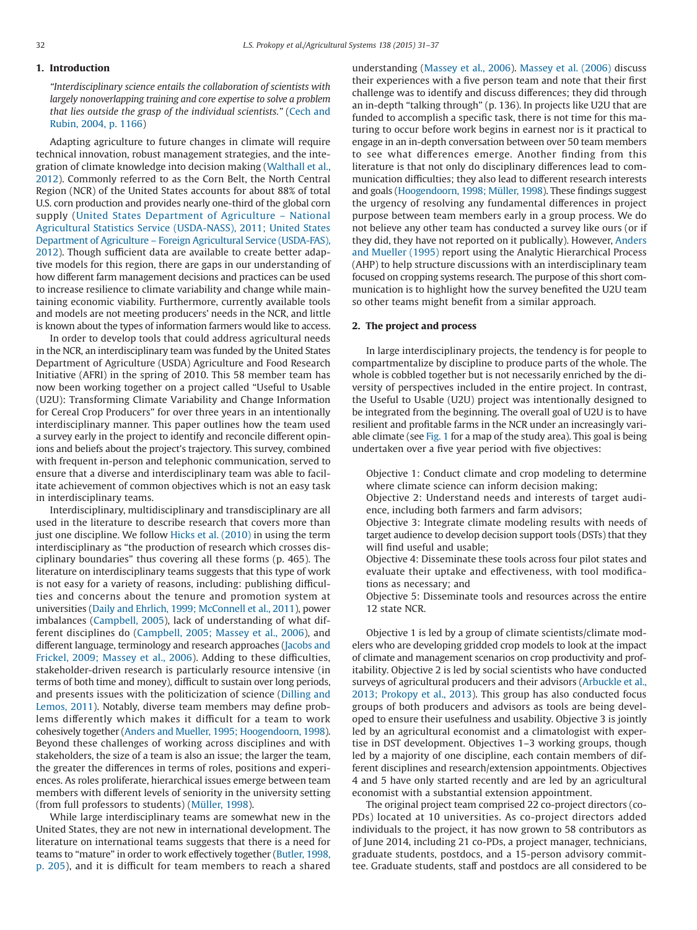# **1. Introduction**

*"Interdisciplinary science entails the collaboration of scientists with largely nonoverlapping training and core expertise to solve a problem that lies outside the grasp of the individual scientists."* [\(Cech and](#page-6-0) [Rubin, 2004, p. 1166\)](#page-6-0)

Adapting agriculture to future changes in climate will require technical innovation, robust management strategies, and the integration of climate knowledge into decision making [\(Walthall et al.,](#page-6-1) [2012\)](#page-6-1). Commonly referred to as the Corn Belt, the North Central Region (NCR) of the United States accounts for about 88% of total U.S. corn production and provides nearly one-third of the global corn supply [\(United States Department of Agriculture – National](#page-6-2) [Agricultural Statistics Service \(USDA-NASS\), 2011; United States](#page-6-2) [Department of Agriculture – Foreign Agricultural Service \(USDA-FAS\),](#page-6-2) [2012\)](#page-6-2). Though sufficient data are available to create better adaptive models for this region, there are gaps in our understanding of how different farm management decisions and practices can be used to increase resilience to climate variability and change while maintaining economic viability. Furthermore, currently available tools and models are not meeting producers' needs in the NCR, and little is known about the types of information farmers would like to access.

In order to develop tools that could address agricultural needs in the NCR, an interdisciplinary team was funded by the United States Department of Agriculture (USDA) Agriculture and Food Research Initiative (AFRI) in the spring of 2010. This 58 member team has now been working together on a project called "Useful to Usable (U2U): Transforming Climate Variability and Change Information for Cereal Crop Producers" for over three years in an intentionally interdisciplinary manner. This paper outlines how the team used a survey early in the project to identify and reconcile different opinions and beliefs about the project's trajectory. This survey, combined with frequent in-person and telephonic communication, served to ensure that a diverse and interdisciplinary team was able to facilitate achievement of common objectives which is not an easy task in interdisciplinary teams.

Interdisciplinary, multidisciplinary and transdisciplinary are all used in the literature to describe research that covers more than just one discipline. We follow [Hicks et al. \(2010\)](#page-6-3) in using the term interdisciplinary as "the production of research which crosses disciplinary boundaries" thus covering all these forms (p. 465). The literature on interdisciplinary teams suggests that this type of work is not easy for a variety of reasons, including: publishing difficulties and concerns about the tenure and promotion system at universities [\(Daily and Ehrlich, 1999; McConnell et al., 2011\)](#page-6-4), power imbalances [\(Campbell, 2005\)](#page-6-5), lack of understanding of what different disciplines do [\(Campbell, 2005; Massey et al., 2006\)](#page-6-5), and different language, terminology and research approaches [\(Jacobs and](#page-6-6) [Frickel, 2009; Massey et al., 2006\)](#page-6-6). Adding to these difficulties, stakeholder-driven research is particularly resource intensive (in terms of both time and money), difficult to sustain over long periods, and presents issues with the politicization of science [\(Dilling and](#page-6-7) [Lemos, 2011\)](#page-6-7). Notably, diverse team members may define problems differently which makes it difficult for a team to work cohesively together [\(Anders and Mueller, 1995; Hoogendoorn, 1998\)](#page-6-8). Beyond these challenges of working across disciplines and with stakeholders, the size of a team is also an issue; the larger the team, the greater the differences in terms of roles, positions and experiences. As roles proliferate, hierarchical issues emerge between team members with different levels of seniority in the university setting (from full professors to students) [\(Müller, 1998\)](#page-6-9).

While large interdisciplinary teams are somewhat new in the United States, they are not new in international development. The literature on international teams suggests that there is a need for teams to "mature" in order to work effectively together [\(Butler, 1998,](#page-6-10) [p. 205\)](#page-6-10), and it is difficult for team members to reach a shared understanding [\(Massey et al., 2006\)](#page-6-11). [Massey et al. \(2006\)](#page-6-11) discuss their experiences with a five person team and note that their first challenge was to identify and discuss differences; they did through an in-depth "talking through" (p. 136). In projects like U2U that are funded to accomplish a specific task, there is not time for this maturing to occur before work begins in earnest nor is it practical to engage in an in-depth conversation between over 50 team members to see what differences emerge. Another finding from this literature is that not only do disciplinary differences lead to communication difficulties; they also lead to different research interests and goals [\(Hoogendoorn, 1998; Müller, 1998\)](#page-6-12). These findings suggest the urgency of resolving any fundamental differences in project purpose between team members early in a group process. We do not believe any other team has conducted a survey like ours (or if they did, they have not reported on it publically). However, [Anders](#page-6-8) [and Mueller \(1995\)](#page-6-8) report using the Analytic Hierarchical Process (AHP) to help structure discussions with an interdisciplinary team focused on cropping systems research. The purpose of this short communication is to highlight how the survey benefited the U2U team so other teams might benefit from a similar approach.

#### **2. The project and process**

In large interdisciplinary projects, the tendency is for people to compartmentalize by discipline to produce parts of the whole. The whole is cobbled together but is not necessarily enriched by the diversity of perspectives included in the entire project. In contrast, the Useful to Usable (U2U) project was intentionally designed to be integrated from the beginning. The overall goal of U2U is to have resilient and profitable farms in the NCR under an increasingly variable climate (see [Fig. 1](#page-2-0) for a map of the study area). This goal is being undertaken over a five year period with five objectives:

Objective 1: Conduct climate and crop modeling to determine where climate science can inform decision making;

- Objective 2: Understand needs and interests of target audience, including both farmers and farm advisors;
- Objective 3: Integrate climate modeling results with needs of target audience to develop decision support tools (DSTs) that they will find useful and usable;
- Objective 4: Disseminate these tools across four pilot states and evaluate their uptake and effectiveness, with tool modifications as necessary; and
- Objective 5: Disseminate tools and resources across the entire 12 state NCR.

Objective 1 is led by a group of climate scientists/climate modelers who are developing gridded crop models to look at the impact of climate and management scenarios on crop productivity and profitability. Objective 2 is led by social scientists who have conducted surveys of agricultural producers and their advisors [\(Arbuckle et al.,](#page-6-13) [2013; Prokopy et al., 2013\)](#page-6-13). This group has also conducted focus groups of both producers and advisors as tools are being developed to ensure their usefulness and usability. Objective 3 is jointly led by an agricultural economist and a climatologist with expertise in DST development. Objectives 1–3 working groups, though led by a majority of one discipline, each contain members of different disciplines and research/extension appointments. Objectives 4 and 5 have only started recently and are led by an agricultural economist with a substantial extension appointment.

The original project team comprised 22 co-project directors (co-PDs) located at 10 universities. As co-project directors added individuals to the project, it has now grown to 58 contributors as of June 2014, including 21 co-PDs, a project manager, technicians, graduate students, postdocs, and a 15-person advisory committee. Graduate students, staff and postdocs are all considered to be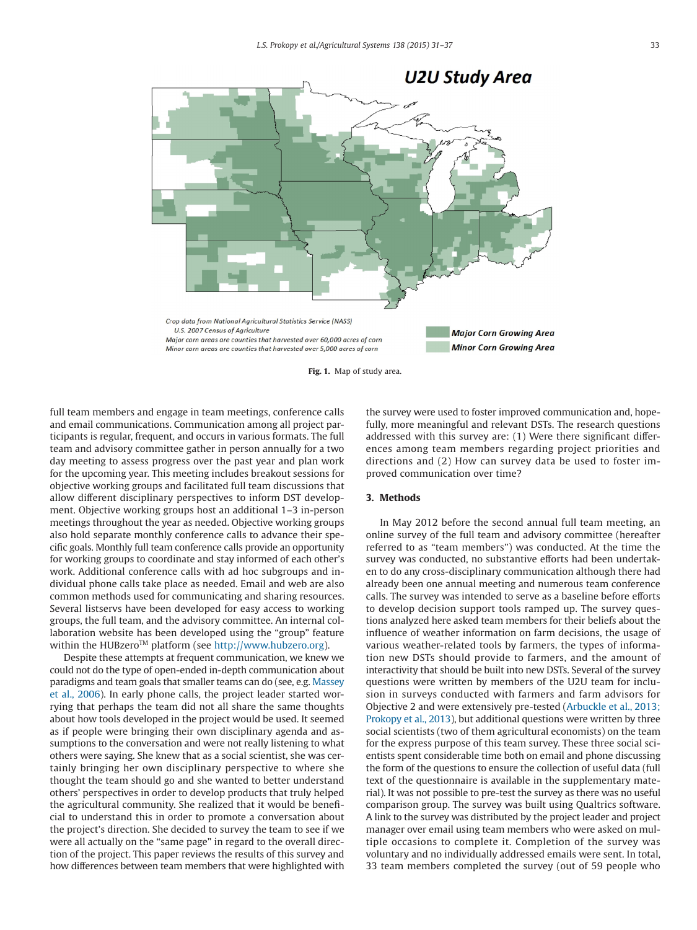<span id="page-2-0"></span>



full team members and engage in team meetings, conference calls and email communications. Communication among all project participants is regular, frequent, and occurs in various formats. The full team and advisory committee gather in person annually for a two day meeting to assess progress over the past year and plan work for the upcoming year. This meeting includes breakout sessions for objective working groups and facilitated full team discussions that allow different disciplinary perspectives to inform DST development. Objective working groups host an additional 1–3 in-person meetings throughout the year as needed. Objective working groups also hold separate monthly conference calls to advance their specific goals. Monthly full team conference calls provide an opportunity for working groups to coordinate and stay informed of each other's work. Additional conference calls with ad hoc subgroups and individual phone calls take place as needed. Email and web are also common methods used for communicating and sharing resources. Several listservs have been developed for easy access to working groups, the full team, and the advisory committee. An internal collaboration website has been developed using the "group" feature within the HUBzero™ platform (see [http://www.hubzero.org\)](http://www.hubzero.org).

Despite these attempts at frequent communication, we knew we could not do the type of open-ended in-depth communication about paradigms and team goals that smaller teams can do (see, e.g. [Massey](#page-6-11) [et al., 2006\)](#page-6-11). In early phone calls, the project leader started worrying that perhaps the team did not all share the same thoughts about how tools developed in the project would be used. It seemed as if people were bringing their own disciplinary agenda and assumptions to the conversation and were not really listening to what others were saying. She knew that as a social scientist, she was certainly bringing her own disciplinary perspective to where she thought the team should go and she wanted to better understand others' perspectives in order to develop products that truly helped the agricultural community. She realized that it would be beneficial to understand this in order to promote a conversation about the project's direction. She decided to survey the team to see if we were all actually on the "same page" in regard to the overall direction of the project. This paper reviews the results of this survey and how differences between team members that were highlighted with

the survey were used to foster improved communication and, hopefully, more meaningful and relevant DSTs. The research questions addressed with this survey are: (1) Were there significant differences among team members regarding project priorities and directions and (2) How can survey data be used to foster improved communication over time?

#### **3. Methods**

In May 2012 before the second annual full team meeting, an online survey of the full team and advisory committee (hereafter referred to as "team members") was conducted. At the time the survey was conducted, no substantive efforts had been undertaken to do any cross-disciplinary communication although there had already been one annual meeting and numerous team conference calls. The survey was intended to serve as a baseline before efforts to develop decision support tools ramped up. The survey questions analyzed here asked team members for their beliefs about the influence of weather information on farm decisions, the usage of various weather-related tools by farmers, the types of information new DSTs should provide to farmers, and the amount of interactivity that should be built into new DSTs. Several of the survey questions were written by members of the U2U team for inclusion in surveys conducted with farmers and farm advisors for Objective 2 and were extensively pre-tested [\(Arbuckle et al., 2013;](#page-6-13) [Prokopy et al., 2013\)](#page-6-13), but additional questions were written by three social scientists (two of them agricultural economists) on the team for the express purpose of this team survey. These three social scientists spent considerable time both on email and phone discussing the form of the questions to ensure the collection of useful data (full text of the questionnaire is available in the supplementary material). It was not possible to pre-test the survey as there was no useful comparison group. The survey was built using Qualtrics software. A link to the survey was distributed by the project leader and project manager over email using team members who were asked on multiple occasions to complete it. Completion of the survey was voluntary and no individually addressed emails were sent. In total, 33 team members completed the survey (out of 59 people who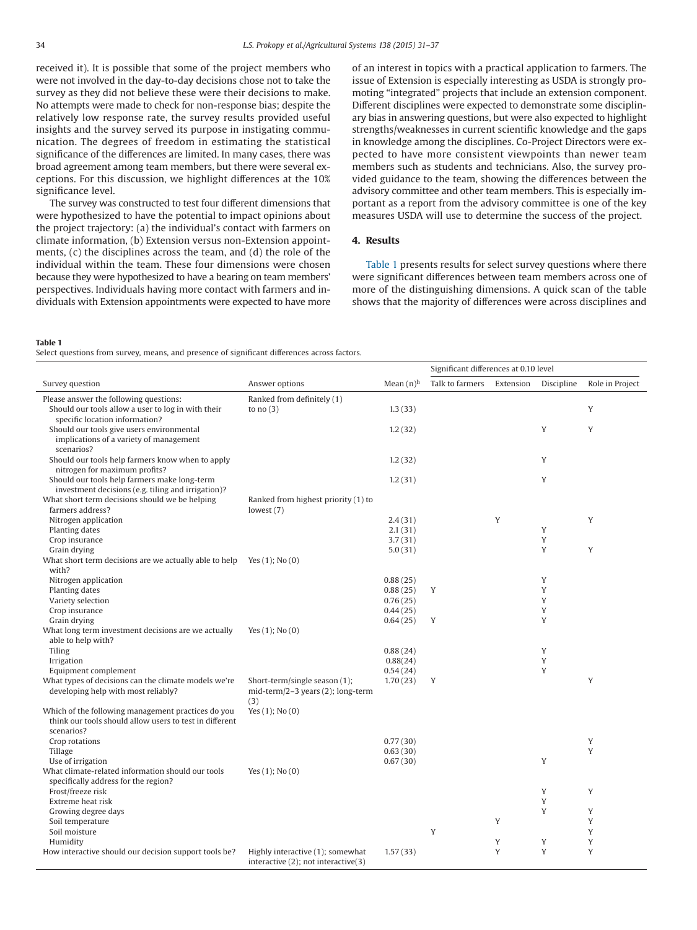<span id="page-3-0"></span>received it). It is possible that some of the project members who were not involved in the day-to-day decisions chose not to take the survey as they did not believe these were their decisions to make. No attempts were made to check for non-response bias; despite the relatively low response rate, the survey results provided useful insights and the survey served its purpose in instigating communication. The degrees of freedom in estimating the statistical significance of the differences are limited. In many cases, there was broad agreement among team members, but there were several exceptions. For this discussion, we highlight differences at the 10% significance level.

The survey was constructed to test four different dimensions that were hypothesized to have the potential to impact opinions about the project trajectory: (a) the individual's contact with farmers on climate information, (b) Extension versus non-Extension appointments, (c) the disciplines across the team, and (d) the role of the individual within the team. These four dimensions were chosen because they were hypothesized to have a bearing on team members' perspectives. Individuals having more contact with farmers and individuals with Extension appointments were expected to have more of an interest in topics with a practical application to farmers. The issue of Extension is especially interesting as USDA is strongly promoting "integrated" projects that include an extension component. Different disciplines were expected to demonstrate some disciplinary bias in answering questions, but were also expected to highlight strengths/weaknesses in current scientific knowledge and the gaps in knowledge among the disciplines. Co-Project Directors were expected to have more consistent viewpoints than newer team members such as students and technicians. Also, the survey provided guidance to the team, showing the differences between the advisory committee and other team members. This is especially important as a report from the advisory committee is one of the key measures USDA will use to determine the success of the project.

## **4. Results**

Table 1 presents results for select survey questions where there were significant differences between team members across one of more of the distinguishing dimensions. A quick scan of the table shows that the majority of differences were across disciplines and

**Table 1**

Select questions from survey, means, and presence of significant differences across factors.

|                                                                                                                                |                                                                           |                         | Significant differences at 0.10 level |           |            |                 |
|--------------------------------------------------------------------------------------------------------------------------------|---------------------------------------------------------------------------|-------------------------|---------------------------------------|-----------|------------|-----------------|
| Survey question                                                                                                                | Answer options                                                            | Mean $(n)$ <sup>h</sup> | Talk to farmers                       | Extension | Discipline | Role in Project |
| Please answer the following questions:<br>Should our tools allow a user to log in with their<br>specific location information? | Ranked from definitely (1)<br>to no $(3)$                                 | 1.3(33)                 |                                       |           |            | Y               |
| Should our tools give users environmental<br>implications of a variety of management<br>scenarios?                             |                                                                           | 1.2(32)                 |                                       |           | Y          | Y               |
| Should our tools help farmers know when to apply<br>nitrogen for maximum profits?                                              |                                                                           | 1.2(32)                 |                                       |           | Y          |                 |
| Should our tools help farmers make long-term<br>investment decisions (e.g. tiling and irrigation)?                             |                                                                           | 1.2(31)                 |                                       |           | Y          |                 |
| What short term decisions should we be helping<br>farmers address?                                                             | Ranked from highest priority (1) to<br>lowest $(7)$                       |                         |                                       |           |            |                 |
| Nitrogen application                                                                                                           |                                                                           | 2.4(31)                 |                                       | Y         |            | Y               |
| Planting dates                                                                                                                 |                                                                           | 2.1(31)                 |                                       |           | Y          |                 |
| Crop insurance<br>Grain drying                                                                                                 |                                                                           | 3.7(31)                 |                                       |           | Y<br>Y     | Y               |
| What short term decisions are we actually able to help $\gamma$ es (1); No (0)                                                 |                                                                           | 5.0(31)                 |                                       |           |            |                 |
| with?                                                                                                                          |                                                                           |                         |                                       |           |            |                 |
| Nitrogen application                                                                                                           |                                                                           | 0.88(25)                |                                       |           | Y          |                 |
| Planting dates                                                                                                                 |                                                                           | 0.88(25)                | Y                                     |           | Y          |                 |
| Variety selection                                                                                                              |                                                                           | 0.76(25)                |                                       |           | Y          |                 |
| Crop insurance                                                                                                                 |                                                                           | 0.44(25)                |                                       |           | Y          |                 |
| Grain drying                                                                                                                   |                                                                           | 0.64(25)                | Y                                     |           | Y          |                 |
| What long term investment decisions are we actually<br>able to help with?                                                      | Yes $(1)$ ; No $(0)$                                                      |                         |                                       |           |            |                 |
| Tiling                                                                                                                         |                                                                           | 0.88(24)                |                                       |           | Y          |                 |
| Irrigation                                                                                                                     |                                                                           | 0.88(24)                |                                       |           | Y          |                 |
| Equipment complement                                                                                                           |                                                                           | 0.54(24)                |                                       |           | Y          |                 |
| What types of decisions can the climate models we're<br>developing help with most reliably?                                    | Short-term/single season (1);<br>mid-term/2-3 years (2); long-term<br>(3) | 1.70(23)                | Y                                     |           |            | Y               |
| Which of the following management practices do you<br>think our tools should allow users to test in different                  | Yes $(1)$ ; No $(0)$                                                      |                         |                                       |           |            |                 |
| scenarios?                                                                                                                     |                                                                           |                         |                                       |           |            |                 |
| Crop rotations                                                                                                                 |                                                                           | 0.77(30)                |                                       |           |            | Y               |
| Tillage                                                                                                                        |                                                                           | 0.63(30)                |                                       |           |            | Y               |
| Use of irrigation                                                                                                              |                                                                           | 0.67(30)                |                                       |           | Y          |                 |
| What climate-related information should our tools<br>specifically address for the region?                                      | Yes $(1)$ ; No $(0)$                                                      |                         |                                       |           |            |                 |
| Frost/freeze risk                                                                                                              |                                                                           |                         |                                       |           | Y          | Y               |
| Extreme heat risk                                                                                                              |                                                                           |                         |                                       |           | Y          |                 |
| Growing degree days                                                                                                            |                                                                           |                         |                                       |           | Y          | Y               |
| Soil temperature                                                                                                               |                                                                           |                         |                                       | Y         |            | Y               |
| Soil moisture                                                                                                                  |                                                                           |                         | Y                                     |           |            | Y               |
| Humidity                                                                                                                       |                                                                           |                         |                                       | Y         | Y          | Y               |
| How interactive should our decision support tools be?                                                                          | Highly interactive (1); somewhat<br>interactive (2); not interactive(3)   | 1.57(33)                |                                       | Y         | Y          | Y               |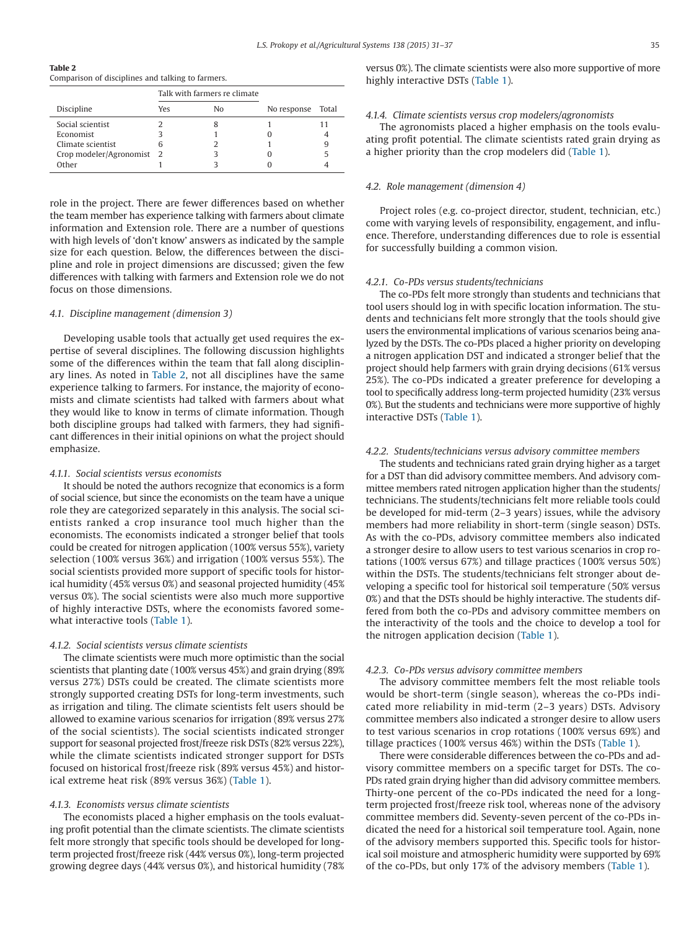#### **Table 2**

Comparison of disciplines and talking to farmers.

|                           |     | Talk with farmers re climate |                   |  |
|---------------------------|-----|------------------------------|-------------------|--|
| Discipline                | Yes | No                           | No response Total |  |
| Social scientist          |     |                              |                   |  |
| Economist                 |     |                              |                   |  |
| Climate scientist         | h   |                              |                   |  |
| Crop modeler/Agronomist 2 |     |                              |                   |  |
| Other                     |     |                              |                   |  |

role in the project. There are fewer differences based on whether the team member has experience talking with farmers about climate information and Extension role. There are a number of questions with high levels of 'don't know' answers as indicated by the sample size for each question. Below, the differences between the discipline and role in project dimensions are discussed; given the few differences with talking with farmers and Extension role we do not focus on those dimensions.

#### *4.1. Discipline management (dimension 3)*

Developing usable tools that actually get used requires the expertise of several disciplines. The following discussion highlights some of the differences within the team that fall along disciplinary lines. As noted in Table 2, not all disciplines have the same experience talking to farmers. For instance, the majority of economists and climate scientists had talked with farmers about what they would like to know in terms of climate information. Though both discipline groups had talked with farmers, they had significant differences in their initial opinions on what the project should emphasize.

#### *4.1.1. Social scientists versus economists*

It should be noted the authors recognize that economics is a form of social science, but since the economists on the team have a unique role they are categorized separately in this analysis. The social scientists ranked a crop insurance tool much higher than the economists. The economists indicated a stronger belief that tools could be created for nitrogen application (100% versus 55%), variety selection (100% versus 36%) and irrigation (100% versus 55%). The social scientists provided more support of specific tools for historical humidity (45% versus 0%) and seasonal projected humidity (45% versus 0%). The social scientists were also much more supportive of highly interactive DSTs, where the economists favored somewhat interactive tools [\(Table 1\)](#page-3-0).

## *4.1.2. Social scientists versus climate scientists*

The climate scientists were much more optimistic than the social scientists that planting date (100% versus 45%) and grain drying (89% versus 27%) DSTs could be created. The climate scientists more strongly supported creating DSTs for long-term investments, such as irrigation and tiling. The climate scientists felt users should be allowed to examine various scenarios for irrigation (89% versus 27% of the social scientists). The social scientists indicated stronger support for seasonal projected frost/freeze risk DSTs (82% versus 22%), while the climate scientists indicated stronger support for DSTs focused on historical frost/freeze risk (89% versus 45%) and historical extreme heat risk (89% versus 36%) [\(Table 1\)](#page-3-0).

#### *4.1.3. Economists versus climate scientists*

The economists placed a higher emphasis on the tools evaluating profit potential than the climate scientists. The climate scientists felt more strongly that specific tools should be developed for longterm projected frost/freeze risk (44% versus 0%), long-term projected growing degree days (44% versus 0%), and historical humidity (78%

versus 0%). The climate scientists were also more supportive of more highly interactive DSTs [\(Table 1\)](#page-3-0).

#### *4.1.4. Climate scientists versus crop modelers/agronomists*

The agronomists placed a higher emphasis on the tools evaluating profit potential. The climate scientists rated grain drying as a higher priority than the crop modelers did [\(Table 1\)](#page-3-0).

### *4.2. Role management (dimension 4)*

Project roles (e.g. co-project director, student, technician, etc.) come with varying levels of responsibility, engagement, and influence. Therefore, understanding differences due to role is essential for successfully building a common vision.

#### *4.2.1. Co-PDs versus students/technicians*

The co-PDs felt more strongly than students and technicians that tool users should log in with specific location information. The students and technicians felt more strongly that the tools should give users the environmental implications of various scenarios being analyzed by the DSTs. The co-PDs placed a higher priority on developing a nitrogen application DST and indicated a stronger belief that the project should help farmers with grain drying decisions (61% versus 25%). The co-PDs indicated a greater preference for developing a tool to specifically address long-term projected humidity (23% versus 0%). But the students and technicians were more supportive of highly interactive DSTs [\(Table 1\)](#page-3-0).

#### *4.2.2. Students/technicians versus advisory committee members*

The students and technicians rated grain drying higher as a target for a DST than did advisory committee members. And advisory committee members rated nitrogen application higher than the students/ technicians. The students/technicians felt more reliable tools could be developed for mid-term (2–3 years) issues, while the advisory members had more reliability in short-term (single season) DSTs. As with the co-PDs, advisory committee members also indicated a stronger desire to allow users to test various scenarios in crop rotations (100% versus 67%) and tillage practices (100% versus 50%) within the DSTs. The students/technicians felt stronger about developing a specific tool for historical soil temperature (50% versus 0%) and that the DSTs should be highly interactive. The students differed from both the co-PDs and advisory committee members on the interactivity of the tools and the choice to develop a tool for the nitrogen application decision [\(Table 1\)](#page-3-0).

## *4.2.3. Co-PDs versus advisory committee members*

The advisory committee members felt the most reliable tools would be short-term (single season), whereas the co-PDs indicated more reliability in mid-term (2–3 years) DSTs. Advisory committee members also indicated a stronger desire to allow users to test various scenarios in crop rotations (100% versus 69%) and tillage practices (100% versus 46%) within the DSTs [\(Table 1\)](#page-3-0).

There were considerable differences between the co-PDs and advisory committee members on a specific target for DSTs. The co-PDs rated grain drying higher than did advisory committee members. Thirty-one percent of the co-PDs indicated the need for a longterm projected frost/freeze risk tool, whereas none of the advisory committee members did. Seventy-seven percent of the co-PDs indicated the need for a historical soil temperature tool. Again, none of the advisory members supported this. Specific tools for historical soil moisture and atmospheric humidity were supported by 69% of the co-PDs, but only 17% of the advisory members [\(Table 1\)](#page-3-0).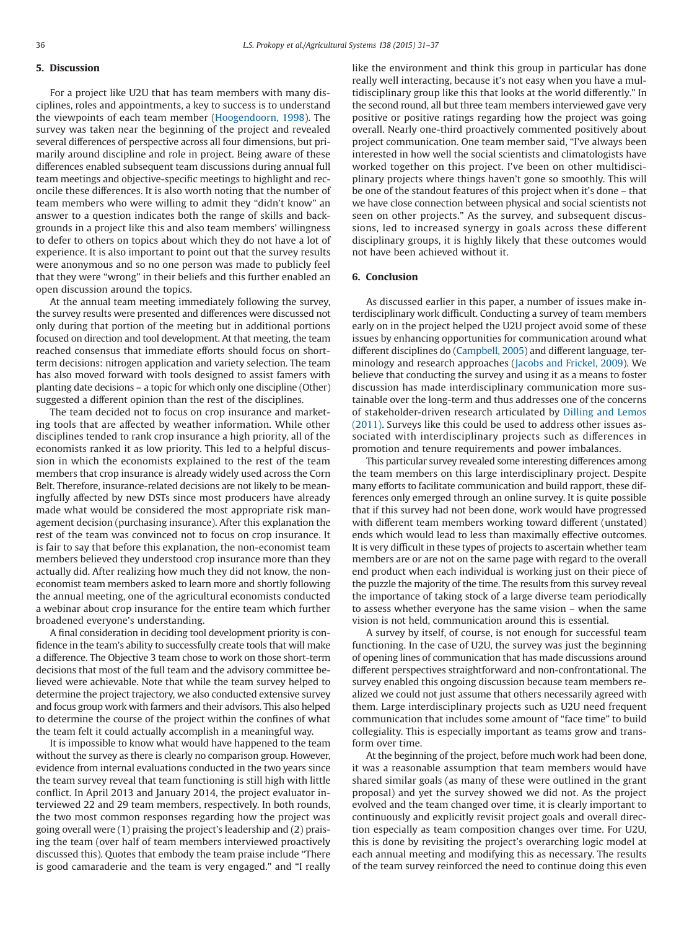## **5. Discussion**

For a project like U2U that has team members with many disciplines, roles and appointments, a key to success is to understand the viewpoints of each team member [\(Hoogendoorn, 1998\)](#page-6-12). The survey was taken near the beginning of the project and revealed several differences of perspective across all four dimensions, but primarily around discipline and role in project. Being aware of these differences enabled subsequent team discussions during annual full team meetings and objective-specific meetings to highlight and reconcile these differences. It is also worth noting that the number of team members who were willing to admit they "didn't know" an answer to a question indicates both the range of skills and backgrounds in a project like this and also team members' willingness to defer to others on topics about which they do not have a lot of experience. It is also important to point out that the survey results were anonymous and so no one person was made to publicly feel that they were "wrong" in their beliefs and this further enabled an open discussion around the topics.

At the annual team meeting immediately following the survey, the survey results were presented and differences were discussed not only during that portion of the meeting but in additional portions focused on direction and tool development. At that meeting, the team reached consensus that immediate efforts should focus on shortterm decisions: nitrogen application and variety selection. The team has also moved forward with tools designed to assist famers with planting date decisions–atopic for which only one discipline (Other) suggested a different opinion than the rest of the disciplines.

The team decided not to focus on crop insurance and marketing tools that are affected by weather information. While other disciplines tended to rank crop insurance a high priority, all of the economists ranked it as low priority. This led to a helpful discussion in which the economists explained to the rest of the team members that crop insurance is already widely used across the Corn Belt. Therefore, insurance-related decisions are not likely to be meaningfully affected by new DSTs since most producers have already made what would be considered the most appropriate risk management decision (purchasing insurance). After this explanation the rest of the team was convinced not to focus on crop insurance. It is fair to say that before this explanation, the non-economist team members believed they understood crop insurance more than they actually did. After realizing how much they did not know, the noneconomist team members asked to learn more and shortly following the annual meeting, one of the agricultural economists conducted a webinar about crop insurance for the entire team which further broadened everyone's understanding.

A final consideration in deciding tool development priority is confidence in the team's ability to successfully create tools that will make a difference. The Objective 3 team chose to work on those short-term decisions that most of the full team and the advisory committee believed were achievable. Note that while the team survey helped to determine the project trajectory, we also conducted extensive survey and focus group work with farmers and their advisors. This also helped to determine the course of the project within the confines of what the team felt it could actually accomplish in a meaningful way.

It is impossible to know what would have happened to the team without the survey as there is clearly no comparison group. However, evidence from internal evaluations conducted in the two years since the team survey reveal that team functioning is still high with little conflict. In April 2013 and January 2014, the project evaluator interviewed 22 and 29 team members, respectively. In both rounds, the two most common responses regarding how the project was going overall were (1) praising the project's leadership and (2) praising the team (over half of team members interviewed proactively discussed this). Quotes that embody the team praise include "There is good camaraderie and the team is very engaged." and "I really

like the environment and think this group in particular has done really well interacting, because it's not easy when you have a multidisciplinary group like this that looks at the world differently." In the second round, all but three team members interviewed gave very positive or positive ratings regarding how the project was going overall. Nearly one-third proactively commented positively about project communication. One team member said, "I've always been interested in how well the social scientists and climatologists have worked together on this project. I've been on other multidisciplinary projects where things haven't gone so smoothly. This will be one of the standout features of this project when it's done – that we have close connection between physical and social scientists not seen on other projects." As the survey, and subsequent discussions, led to increased synergy in goals across these different disciplinary groups, it is highly likely that these outcomes would not have been achieved without it.

## **6. Conclusion**

As discussed earlier in this paper, a number of issues make interdisciplinary work difficult. Conducting a survey of team members early on in the project helped the U2U project avoid some of these issues by enhancing opportunities for communication around what different disciplines do [\(Campbell, 2005\)](#page-6-5) and different language, terminology and research approaches [\(Jacobs and Frickel, 2009\)](#page-6-6). We believe that conducting the survey and using it as a means to foster discussion has made interdisciplinary communication more sustainable over the long-term and thus addresses one of the concerns of stakeholder-driven research articulated by [Dilling and Lemos](#page-6-7) [\(2011\).](#page-6-7) Surveys like this could be used to address other issues associated with interdisciplinary projects such as differences in promotion and tenure requirements and power imbalances.

This particular survey revealed some interesting differences among the team members on this large interdisciplinary project. Despite many efforts to facilitate communication and build rapport, these differences only emerged through an online survey. It is quite possible that if this survey had not been done, work would have progressed with different team members working toward different (unstated) ends which would lead to less than maximally effective outcomes. It is very difficult in these types of projects to ascertain whether team members are or are not on the same page with regard to the overall end product when each individual is working just on their piece of the puzzle the majority of the time. The results from this survey reveal the importance of taking stock of a large diverse team periodically to assess whether everyone has the same vision – when the same vision is not held, communication around this is essential.

A survey by itself, of course, is not enough for successful team functioning. In the case of U2U, the survey was just the beginning of opening lines of communication that has made discussions around different perspectives straightforward and non-confrontational. The survey enabled this ongoing discussion because team members realized we could not just assume that others necessarily agreed with them. Large interdisciplinary projects such as U2U need frequent communication that includes some amount of "face time" to build collegiality. This is especially important as teams grow and transform over time.

At the beginning of the project, before much work had been done, it was a reasonable assumption that team members would have shared similar goals (as many of these were outlined in the grant proposal) and yet the survey showed we did not. As the project evolved and the team changed over time, it is clearly important to continuously and explicitly revisit project goals and overall direction especially as team composition changes over time. For U2U, this is done by revisiting the project's overarching logic model at each annual meeting and modifying this as necessary. The results of the team survey reinforced the need to continue doing this even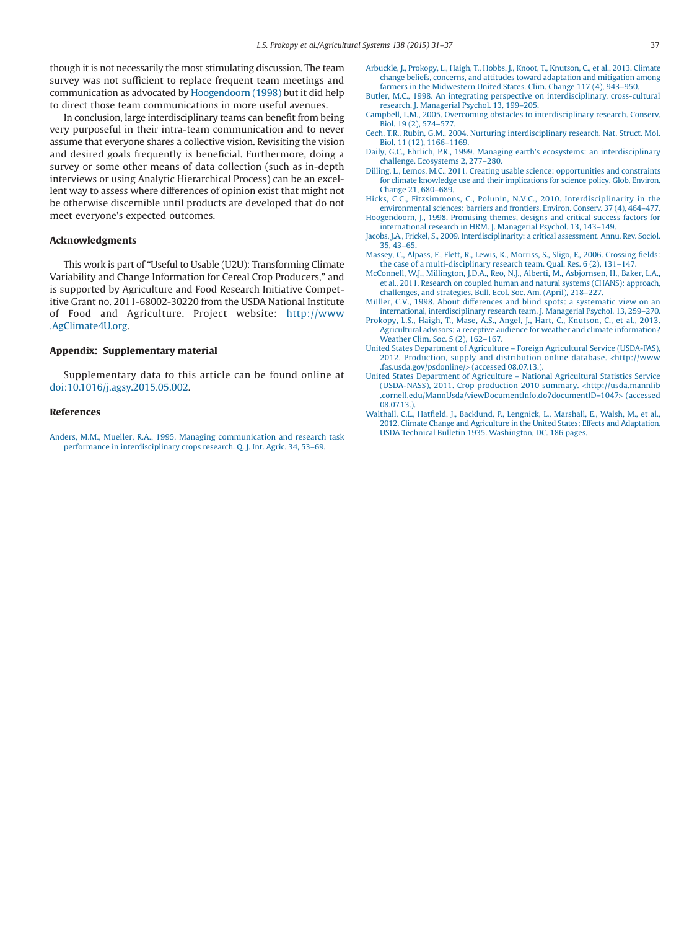though it is not necessarily the most stimulating discussion. The team survey was not sufficient to replace frequent team meetings and communication as advocated by [Hoogendoorn \(1998\)](#page-6-12) but it did help to direct those team communications in more useful avenues.

In conclusion, large interdisciplinary teams can benefit from being very purposeful in their intra-team communication and to never assume that everyone shares a collective vision. Revisiting the vision and desired goals frequently is beneficial. Furthermore, doing a survey or some other means of data collection (such as in-depth interviews or using Analytic Hierarchical Process) can be an excellent way to assess where differences of opinion exist that might not be otherwise discernible until products are developed that do not meet everyone's expected outcomes.

#### **Acknowledgments**

This work is part of "Useful to Usable (U2U): Transforming Climate Variability and Change Information for Cereal Crop Producers," and is supported by Agriculture and Food Research Initiative Competitive Grant no. 2011-68002-30220 from the USDA National Institute of Food and Agriculture. Project website: [http://www](http://www.AgClimate4U.org) [.AgClimate4U.org.](http://www.AgClimate4U.org)

## **Appendix: Supplementary material**

Supplementary data to this article can be found online at [doi:10.1016/j.agsy.2015.05.002.](http://dx.doi.org/10.1016/j.agsy.2015.05.002)

#### **References**

<span id="page-6-8"></span>[Anders, M.M., Mueller, R.A., 1995. Managing communication and research task](http://refhub.elsevier.com/S0308-521X(15)00062-1/sr0010) [performance in interdisciplinary crops research. Q. J. Int. Agric. 34, 53–69.](http://refhub.elsevier.com/S0308-521X(15)00062-1/sr0010)

- <span id="page-6-13"></span>[Arbuckle, J., Prokopy, L., Haigh, T., Hobbs, J., Knoot, T., Knutson, C., et al., 2013. Climate](http://refhub.elsevier.com/S0308-521X(15)00062-1/sr0015) [change beliefs, concerns, and attitudes toward adaptation and mitigation among](http://refhub.elsevier.com/S0308-521X(15)00062-1/sr0015) [farmers in the Midwestern United States. Clim. Change 117 \(4\), 943–950.](http://refhub.elsevier.com/S0308-521X(15)00062-1/sr0015)
- <span id="page-6-10"></span>[Butler, M.C., 1998. An integrating perspective on interdisciplinary, cross-cultural](http://refhub.elsevier.com/S0308-521X(15)00062-1/sr0020) [research. J. Managerial Psychol. 13, 199–205.](http://refhub.elsevier.com/S0308-521X(15)00062-1/sr0020)
- <span id="page-6-5"></span>[Campbell, L.M., 2005. Overcoming obstacles to interdisciplinary research. Conserv.](http://refhub.elsevier.com/S0308-521X(15)00062-1/sr0025) [Biol. 19 \(2\), 574–577.](http://refhub.elsevier.com/S0308-521X(15)00062-1/sr0025)
- <span id="page-6-0"></span>[Cech, T.R., Rubin, G.M., 2004. Nurturing interdisciplinary research. Nat. Struct. Mol.](http://refhub.elsevier.com/S0308-521X(15)00062-1/sr0030) [Biol. 11 \(12\), 1166–1169.](http://refhub.elsevier.com/S0308-521X(15)00062-1/sr0030)
- <span id="page-6-4"></span>[Daily, G.C., Ehrlich, P.R., 1999. Managing earth's ecosystems: an interdisciplinary](http://refhub.elsevier.com/S0308-521X(15)00062-1/sr0035) [challenge. Ecosystems 2, 277–280.](http://refhub.elsevier.com/S0308-521X(15)00062-1/sr0035)
- <span id="page-6-7"></span>[Dilling, L., Lemos, M.C., 2011. Creating usable science: opportunities and constraints](http://refhub.elsevier.com/S0308-521X(15)00062-1/sr0040) [for climate knowledge use and their implications for science policy. Glob. Environ.](http://refhub.elsevier.com/S0308-521X(15)00062-1/sr0040) [Change 21, 680–689.](http://refhub.elsevier.com/S0308-521X(15)00062-1/sr0040)
- <span id="page-6-3"></span>[Hicks, C.C., Fitzsimmons, C., Polunin, N.V.C., 2010. Interdisciplinarity in the](http://refhub.elsevier.com/S0308-521X(15)00062-1/sr0045) [environmental sciences: barriers and frontiers. Environ. Conserv. 37 \(4\), 464–477.](http://refhub.elsevier.com/S0308-521X(15)00062-1/sr0045) [Hoogendoorn, J., 1998. Promising themes, designs and critical success factors for](http://refhub.elsevier.com/S0308-521X(15)00062-1/sr0050)
- <span id="page-6-12"></span>[international research in HRM. J. Managerial Psychol. 13, 143–149.](http://refhub.elsevier.com/S0308-521X(15)00062-1/sr0050)
- <span id="page-6-6"></span>[Jacobs, J.A., Frickel, S., 2009. Interdisciplinarity: a critical assessment. Annu. Rev. Sociol.](http://refhub.elsevier.com/S0308-521X(15)00062-1/sr0055) [35, 43–65.](http://refhub.elsevier.com/S0308-521X(15)00062-1/sr0055)
- <span id="page-6-11"></span>[Massey, C., Alpass, F., Flett, R., Lewis, K., Morriss, S., Sligo, F., 2006. Crossing fields:](http://refhub.elsevier.com/S0308-521X(15)00062-1/sr0060) [the case of a multi-disciplinary research team. Qual. Res. 6 \(2\), 131–147.](http://refhub.elsevier.com/S0308-521X(15)00062-1/sr0060)
- [McConnell, W.J., Millington, J.D.A., Reo, N.J., Alberti, M., Asbjornsen, H., Baker, L.A.,](http://refhub.elsevier.com/S0308-521X(15)00062-1/sr0065) [et al., 2011. Research on coupled human and natural systems \(CHANS\): approach,](http://refhub.elsevier.com/S0308-521X(15)00062-1/sr0065) [challenges, and strategies. Bull. Ecol. Soc. Am](http://refhub.elsevier.com/S0308-521X(15)00062-1/sr0065)*.* (April), 218–227.
- <span id="page-6-9"></span>[Müller, C.V., 1998. About differences and blind spots: a systematic view on an](http://refhub.elsevier.com/S0308-521X(15)00062-1/sr0070) [international, interdisciplinary research team. J. Managerial Psychol. 13, 259–270.](http://refhub.elsevier.com/S0308-521X(15)00062-1/sr0070)
- [Prokopy, L.S., Haigh, T., Mase, A.S., Angel, J., Hart, C., Knutson, C., et al., 2013.](http://refhub.elsevier.com/S0308-521X(15)00062-1/sr0075) [Agricultural advisors: a receptive audience for weather and climate information?](http://refhub.elsevier.com/S0308-521X(15)00062-1/sr0075) [Weather Clim. Soc. 5 \(2\), 162–167.](http://refhub.elsevier.com/S0308-521X(15)00062-1/sr0075)
- [United States Department of Agriculture Foreign Agricultural Service \(USDA-FAS\),](http://refhub.elsevier.com/S0308-521X(15)00062-1/sr0080) 2012. Production, supply and distribution online database. <[http://www](http://www.fas.usda.gov/psdonline/) [.fas.usda.gov/psdonline/](http://www.fas.usda.gov/psdonline/)> (accessed 08.07.13.).
- <span id="page-6-2"></span>[United States Department of Agriculture – National Agricultural Statistics Service](http://refhub.elsevier.com/S0308-521X(15)00062-1/sr0085) (USDA-NASS), 2011. Crop production 2010 summary. <[http://usda.mannlib](http://usda.mannlib.cornell.edu/MannUsda/viewDocumentInfo.do?documentID=1047) [.cornell.edu/MannUsda/viewDocumentInfo.do?documentID](http://usda.mannlib.cornell.edu/MannUsda/viewDocumentInfo.do?documentID=1047)=1047> (accessed 08.07.13.).
- <span id="page-6-1"></span>[Walthall, C.L., Hatfield, J., Backlund, P., Lengnick, L., Marshall, E., Walsh, M., et al.,](http://refhub.elsevier.com/S0308-521X(15)00062-1/sr0090) [2012. Climate Change and Agriculture in the United States: Effects and Adaptation.](http://refhub.elsevier.com/S0308-521X(15)00062-1/sr0090) [USDA Technical Bulletin 1935. Washington, DC. 186 pages.](http://refhub.elsevier.com/S0308-521X(15)00062-1/sr0090)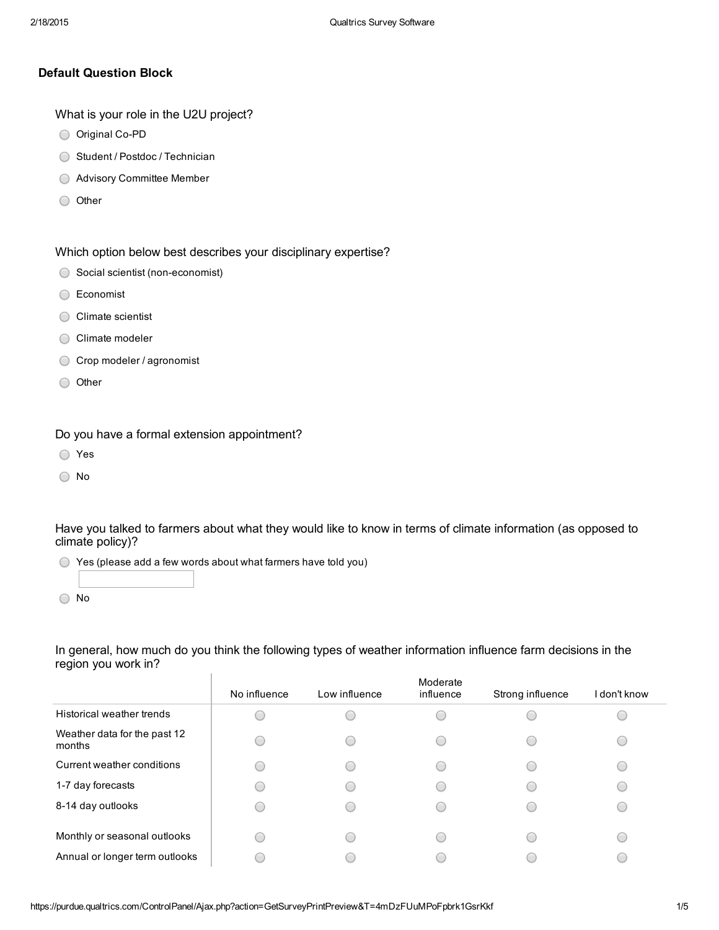# Default Question Block

What is your role in the U2U project?

- O Original Co-PD
- ◯ Student / Postdoc / Technician
- Advisory Committee Member
- O Other

Which option below best describes your disciplinary expertise?

- ◯ Social scientist (non-economist)
- ◯ Economist
- ◯ Climate scientist
- Climate modeler
- ◯ Crop modeler / agronomist
- O Other

Do you have a formal extension appointment?

- Yes
- No

Have you talked to farmers about what they would like to know in terms of climate information (as opposed to climate policy)?

Yes (please add a few words about what farmers have told you)

◯ No

In general, how much do you think the following types of weather information influence farm decisions in the region you work in?

|                                        | No influence | Low influence | Moderate<br>influence | Strong influence | I don't know |
|----------------------------------------|--------------|---------------|-----------------------|------------------|--------------|
| Historical weather trends              |              |               |                       |                  |              |
| Weather data for the past 12<br>months |              |               |                       |                  |              |
| Current weather conditions             |              |               |                       |                  |              |
| 1-7 day forecasts                      |              |               |                       |                  |              |
| 8-14 day outlooks                      |              |               |                       |                  |              |
| Monthly or seasonal outlooks           |              |               |                       |                  |              |
| Annual or longer term outlooks         |              |               |                       |                  |              |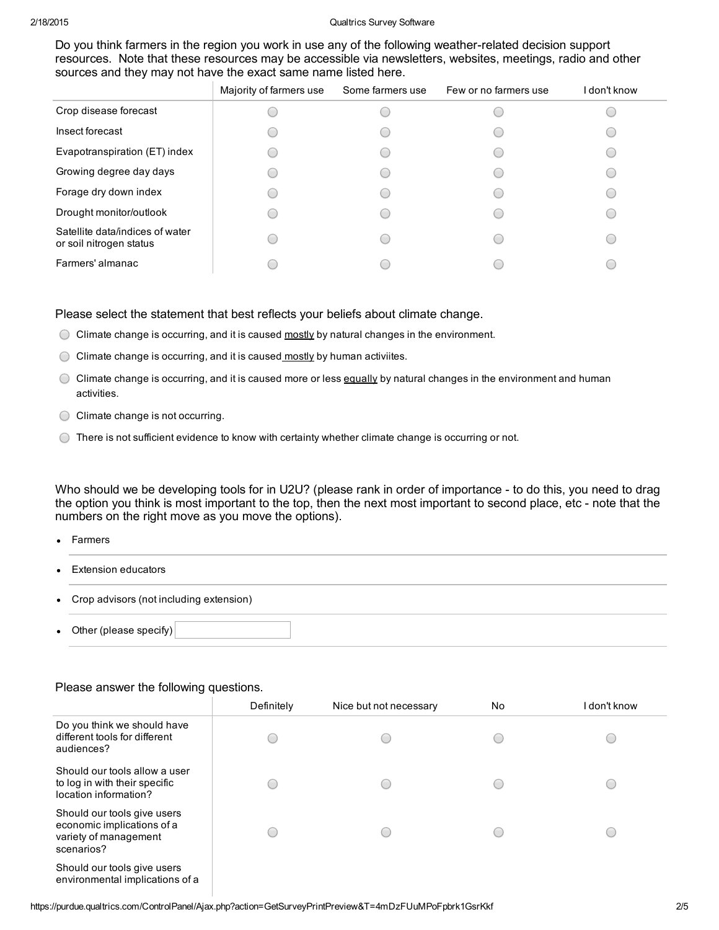## 2/18/2015 Qualtrics Survey Software

Do you think farmers in the region you work in use any of the following weather-related decision support resources. Note that these resources may be accessible via newsletters, websites, meetings, radio and other sources and they may not have the exact same name listed here.

|                                                            | Majority of farmers use | Some farmers use | Few or no farmers use | I don't know |
|------------------------------------------------------------|-------------------------|------------------|-----------------------|--------------|
| Crop disease forecast                                      |                         |                  |                       |              |
| Insect forecast                                            |                         |                  |                       |              |
| Evapotranspiration (ET) index                              |                         |                  |                       |              |
| Growing degree day days                                    |                         |                  |                       |              |
| Forage dry down index                                      |                         |                  |                       |              |
| Drought monitor/outlook                                    |                         |                  |                       |              |
| Satellite data/indices of water<br>or soil nitrogen status |                         |                  |                       |              |
| Farmers' almanac                                           |                         |                  |                       |              |

Please select the statement that best reflects your beliefs about climate change.

- C Climate change is occurring, and it is caused mostly by natural changes in the environment.
- Climate change is occurring, and it is caused mostly by human activiites.
- $\bigcirc$  Climate change is occurring, and it is caused more or less  $\frac{equally}{dy}$  by natural changes in the environment and human activities.
- C Climate change is not occurring.
- $\bigcirc$  There is not sufficient evidence to know with certainty whether climate change is occurring or not.

Who should we be developing tools for in U2U? (please rank in order of importance - to do this, you need to drag the option you think is most important to the top, then the next most important to second place, etc - note that the numbers on the right move as you move the options).

# Farmers

- Extension educators
- Crop advisors (not including extension)
- Other (please specify)

# Please answer the following questions.

|                                                                                                  | Definitely | Nice but not necessary | No | I don't know |
|--------------------------------------------------------------------------------------------------|------------|------------------------|----|--------------|
| Do you think we should have<br>different tools for different<br>audiences?                       |            | C                      |    |              |
| Should our tools allow a user<br>to log in with their specific<br>location information?          |            | O                      |    |              |
| Should our tools give users<br>economic implications of a<br>variety of management<br>scenarios? |            |                        |    |              |
| Should our tools give users<br>environmental implications of a                                   |            |                        |    |              |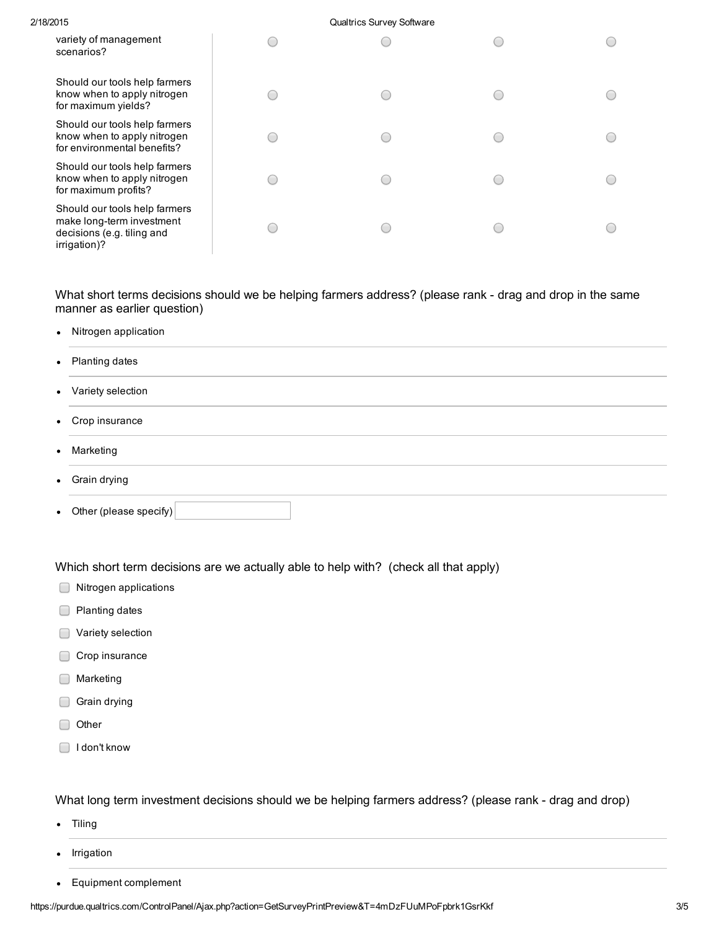2/18/2015 Qualtrics Survey Software variety of management  $\bigcirc$  $\bigcirc$  $\bigcirc$  $\bigcirc$ scenarios? Should our tools help farmers know when to apply nitrogen  $\bigcirc$  $\bigcirc$  $\bigcirc$  $\bigcirc$ for maximum yields? Should our tools help farmers know when to apply nitrogen  $\bigcirc$  $\bigcirc$  $\bigcirc$  $\bigcirc$ for environmental benefits? Should our tools help farmers know when to apply nitrogen  $\bigcirc$  $\bigcirc$  $\bigcirc$  $\bigcirc$ for maximum profits? Should our tools help farmers make long-term investment  $\bigcirc$  $\bigcirc$  $\bigcirc$  $\bigcirc$ decisions (e.g. tiling and irrigation)?

What short terms decisions should we be helping farmers address? (please rank - drag and drop in the same manner as earlier question)

- Nitrogen application  $\bullet$
- Planting dates
- Variety selection  $\bullet$
- Crop insurance
- Marketing
- Grain drying
- Other (please specify)

Which short term decisions are we actually able to help with? (check all that apply)

- Nitrogen applications
- $\Box$  Planting dates
- **Variety selection**
- Crop insurance
- **Marketing**
- Grain drying
- □ Other
- □ I don't know

What long term investment decisions should we be helping farmers address? (please rank - drag and drop)

- Tiling  $\bullet$
- Irrigation
- Equipment complement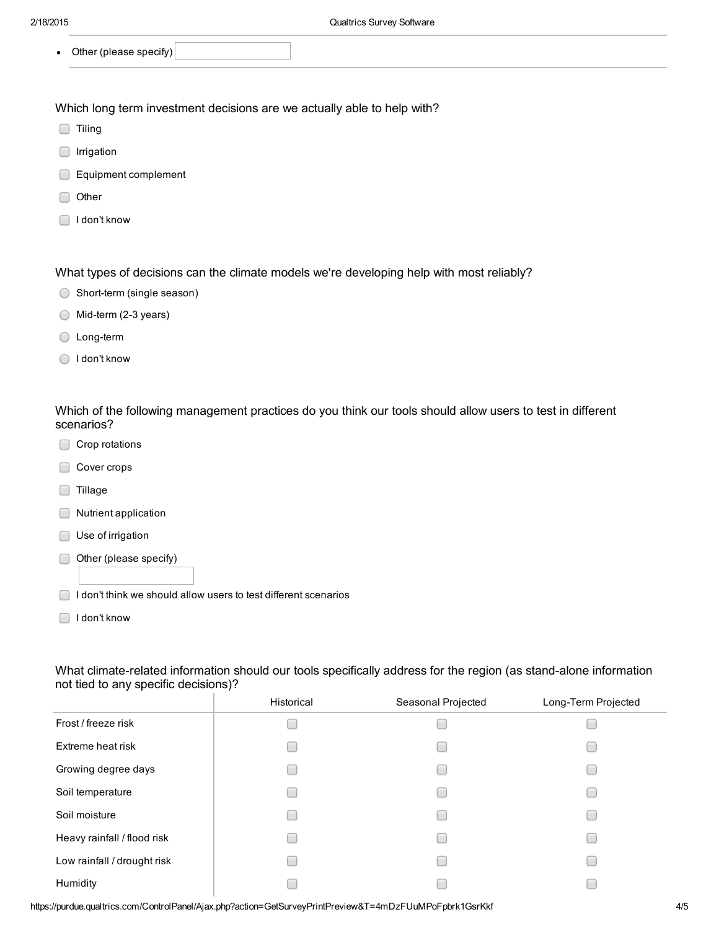Other (please specify)

Which long term investment decisions are we actually able to help with?

| ılır |
|------|
|      |

- **Irrigation**
- Equipment complement
- □ Other
- □ I don't know

What types of decisions can the climate models we're developing help with most reliably?

- $\bigcirc$  Short-term (single season)
- $\bigcirc$  Mid-term (2-3 years)
- $\bigcirc$  Long-term
- ◯ I don't know

Which of the following management practices do you think our tools should allow users to test in different scenarios?

- Crop rotations Cover crops
- □ Tillage
- **Nutrient application**
- Use of irrigation
- Other (please specify)

I don't think we should allow users to test different scenarios

□ I don't know

What climate-related information should our tools specifically address for the region (as stand-alone information not tied to any specific decisions)?

|                             | Historical | Seasonal Projected | Long-Term Projected |
|-----------------------------|------------|--------------------|---------------------|
| Frost / freeze risk         |            |                    |                     |
| Extreme heat risk           |            |                    |                     |
| Growing degree days         |            |                    |                     |
| Soil temperature            |            |                    |                     |
| Soil moisture               |            |                    |                     |
| Heavy rainfall / flood risk |            |                    |                     |
| Low rainfall / drought risk |            |                    |                     |
| Humidity                    |            |                    |                     |

https://purdue.qualtrics.com/ControlPanel/Ajax.php?action=GetSurveyPrintPreview&T=4mDzFUuMPoFpbrk1GsrKkf 4/5